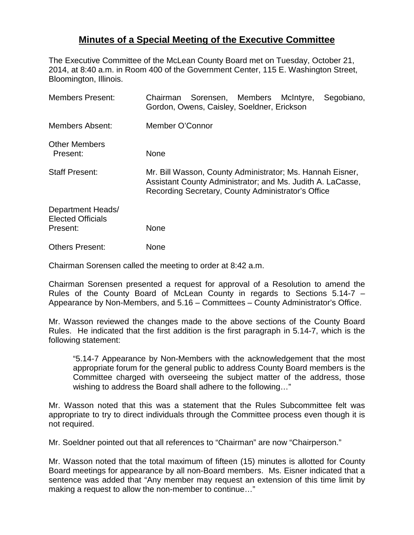## **Minutes of a Special Meeting of the Executive Committee**

The Executive Committee of the McLean County Board met on Tuesday, October 21, 2014, at 8:40 a.m. in Room 400 of the Government Center, 115 E. Washington Street, Bloomington, Illinois.

| <b>Members Present:</b>                                   | Chairman Sorensen, Members McIntyre,<br>Segobiano,<br>Gordon, Owens, Caisley, Soeldner, Erickson                                                                              |
|-----------------------------------------------------------|-------------------------------------------------------------------------------------------------------------------------------------------------------------------------------|
| <b>Members Absent:</b>                                    | Member O'Connor                                                                                                                                                               |
| <b>Other Members</b><br>Present:                          | None                                                                                                                                                                          |
| <b>Staff Present:</b>                                     | Mr. Bill Wasson, County Administrator; Ms. Hannah Eisner,<br>Assistant County Administrator; and Ms. Judith A. LaCasse,<br>Recording Secretary, County Administrator's Office |
| Department Heads/<br><b>Elected Officials</b><br>Present: | None                                                                                                                                                                          |
| <b>Others Present:</b>                                    | None                                                                                                                                                                          |

Chairman Sorensen called the meeting to order at 8:42 a.m.

Chairman Sorensen presented a request for approval of a Resolution to amend the Rules of the County Board of McLean County in regards to Sections 5.14-7 – Appearance by Non-Members, and 5.16 – Committees – County Administrator's Office.

Mr. Wasson reviewed the changes made to the above sections of the County Board Rules. He indicated that the first addition is the first paragraph in 5.14-7, which is the following statement:

"5.14-7 Appearance by Non-Members with the acknowledgement that the most appropriate forum for the general public to address County Board members is the Committee charged with overseeing the subject matter of the address, those wishing to address the Board shall adhere to the following…"

Mr. Wasson noted that this was a statement that the Rules Subcommittee felt was appropriate to try to direct individuals through the Committee process even though it is not required.

Mr. Soeldner pointed out that all references to "Chairman" are now "Chairperson."

Mr. Wasson noted that the total maximum of fifteen (15) minutes is allotted for County Board meetings for appearance by all non-Board members. Ms. Eisner indicated that a sentence was added that "Any member may request an extension of this time limit by making a request to allow the non-member to continue…"